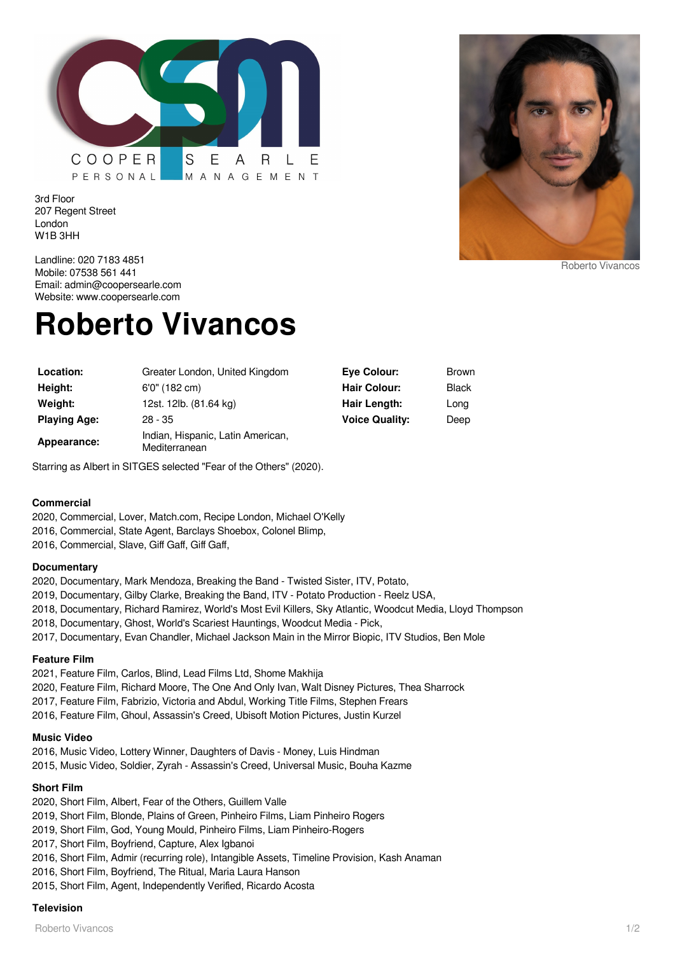

3rd Floor 207 Regent Street London W1B 3HH



Landline: 020 7183 4851 Mobile: 07538 561 441 Email: admin@coopersearle.com Website: www.coopersearle.com

# **Roberto Vivancos**

| Location:           | Greater London, United Kingdom                     | <b>Eve Colour:</b>    | Brown |
|---------------------|----------------------------------------------------|-----------------------|-------|
| Height:             | 6'0" (182 cm)                                      | <b>Hair Colour:</b>   | Black |
| Weight:             | 12st. 12lb. (81.64 kg)                             | Hair Length:          | Long  |
| <b>Playing Age:</b> | $28 - 35$                                          | <b>Voice Quality:</b> | Deep  |
| Appearance:         | Indian, Hispanic, Latin American,<br>Mediterranean |                       |       |

Starring as Albert in SITGES selected "Fear of the Others" (2020).

#### **Commercial**

2020, Commercial, Lover, Match.com, Recipe London, Michael O'Kelly 2016, Commercial, State Agent, Barclays Shoebox, Colonel Blimp,

2016, Commercial, Slave, Giff Gaff, Giff Gaff,

#### **Documentary**

2020, Documentary, Mark Mendoza, Breaking the Band - Twisted Sister, ITV, Potato,

2019, Documentary, Gilby Clarke, Breaking the Band, ITV - Potato Production - Reelz USA,

2018, Documentary, Richard Ramirez, World's Most Evil Killers, Sky Atlantic, Woodcut Media, Lloyd Thompson

2018, Documentary, Ghost, World's Scariest Hauntings, Woodcut Media - Pick,

2017, Documentary, Evan Chandler, Michael Jackson Main in the Mirror Biopic, ITV Studios, Ben Mole

#### **Feature Film**

2021, Feature Film, Carlos, Blind, Lead Films Ltd, Shome Makhija 2020, Feature Film, Richard Moore, The One And Only Ivan, Walt Disney Pictures, Thea Sharrock 2017, Feature Film, Fabrizio, Victoria and Abdul, Working Title Films, Stephen Frears 2016, Feature Film, Ghoul, Assassin's Creed, Ubisoft Motion Pictures, Justin Kurzel

#### **Music Video**

2016, Music Video, Lottery Winner, Daughters of Davis - Money, Luis Hindman 2015, Music Video, Soldier, Zyrah - Assassin's Creed, Universal Music, Bouha Kazme

#### **Short Film**

2020, Short Film, Albert, Fear of the Others, Guillem Valle

- 2019, Short Film, Blonde, Plains of Green, Pinheiro Films, Liam Pinheiro Rogers
- 2019, Short Film, God, Young Mould, Pinheiro Films, Liam Pinheiro-Rogers
- 2017, Short Film, Boyfriend, Capture, Alex Igbanoi
- 2016, Short Film, Admir (recurring role), Intangible Assets, Timeline Provision, Kash Anaman
- 2016, Short Film, Boyfriend, The Ritual, Maria Laura Hanson
- 2015, Short Film, Agent, Independently Verified, Ricardo Acosta

## **Television**

Roberto Vivancos